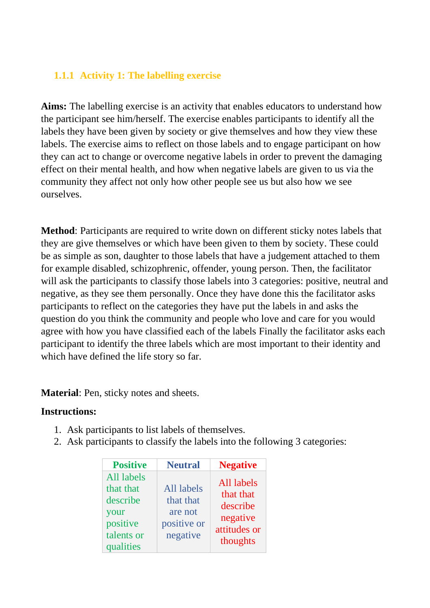## **1.1.1 Activity 1: The labelling exercise**

**Aims:** The labelling exercise is an activity that enables educators to understand how the participant see him/herself. The exercise enables participants to identify all the labels they have been given by society or give themselves and how they view these labels. The exercise aims to reflect on those labels and to engage participant on how they can act to change or overcome negative labels in order to prevent the damaging effect on their mental health, and how when negative labels are given to us via the community they affect not only how other people see us but also how we see ourselves.

**Method**: Participants are required to write down on different sticky notes labels that they are give themselves or which have been given to them by society. These could be as simple as son, daughter to those labels that have a judgement attached to them for example disabled, schizophrenic, offender, young person. Then, the facilitator will ask the participants to classify those labels into 3 categories: positive, neutral and negative, as they see them personally. Once they have done this the facilitator asks participants to reflect on the categories they have put the labels in and asks the question do you think the community and people who love and care for you would agree with how you have classified each of the labels Finally the facilitator asks each participant to identify the three labels which are most important to their identity and which have defined the life story so far.

**Material**: Pen, sticky notes and sheets.

#### **Instructions:**

- 1. Ask participants to list labels of themselves.
- 2. Ask participants to classify the labels into the following 3 categories:

| <b>Positive</b>                                                                    | <b>Neutral</b>                                                | <b>Negative</b>                                                             |
|------------------------------------------------------------------------------------|---------------------------------------------------------------|-----------------------------------------------------------------------------|
| All labels<br>that that<br>describe<br>your<br>positive<br>talents or<br>qualities | All labels<br>that that<br>are not<br>positive or<br>negative | All labels<br>that that<br>describe<br>negative<br>attitudes or<br>thoughts |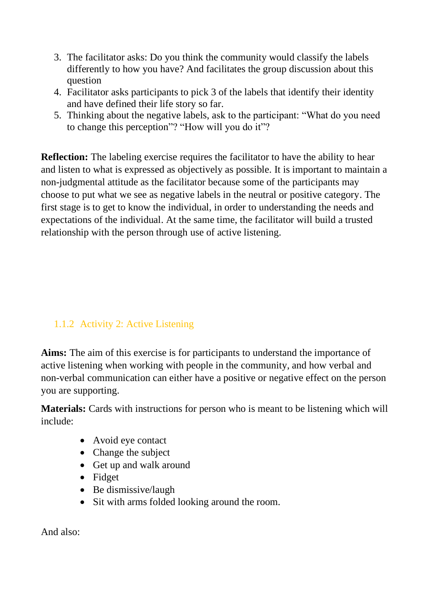- 3. The facilitator asks: Do you think the community would classify the labels differently to how you have? And facilitates the group discussion about this question
- 4. Facilitator asks participants to pick 3 of the labels that identify their identity and have defined their life story so far.
- 5. Thinking about the negative labels, ask to the participant: "What do you need to change this perception"? "How will you do it"?

**Reflection:** The labeling exercise requires the facilitator to have the ability to hear and listen to what is expressed as objectively as possible. It is important to maintain a non-judgmental attitude as the facilitator because some of the participants may choose to put what we see as negative labels in the neutral or positive category. The first stage is to get to know the individual, in order to understanding the needs and expectations of the individual. At the same time, the facilitator will build a trusted relationship with the person through use of active listening.

# 1.1.2 Activity 2: Active Listening

**Aims:** The aim of this exercise is for participants to understand the importance of active listening when working with people in the community, and how verbal and non-verbal communication can either have a positive or negative effect on the person you are supporting.

**Materials:** Cards with instructions for person who is meant to be listening which will include:

- Avoid eye contact
- Change the subject
- Get up and walk around
- Fidget
- Be dismissive/laugh
- Sit with arms folded looking around the room.

And also: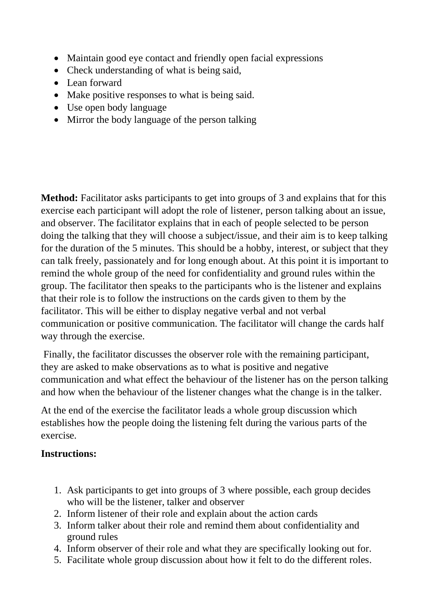- Maintain good eye contact and friendly open facial expressions
- Check understanding of what is being said,
- Lean forward
- Make positive responses to what is being said.
- Use open body language
- Mirror the body language of the person talking

**Method:** Facilitator asks participants to get into groups of 3 and explains that for this exercise each participant will adopt the role of listener, person talking about an issue, and observer. The facilitator explains that in each of people selected to be person doing the talking that they will choose a subject/issue, and their aim is to keep talking for the duration of the 5 minutes. This should be a hobby, interest, or subject that they can talk freely, passionately and for long enough about. At this point it is important to remind the whole group of the need for confidentiality and ground rules within the group. The facilitator then speaks to the participants who is the listener and explains that their role is to follow the instructions on the cards given to them by the facilitator. This will be either to display negative verbal and not verbal communication or positive communication. The facilitator will change the cards half way through the exercise.

Finally, the facilitator discusses the observer role with the remaining participant, they are asked to make observations as to what is positive and negative communication and what effect the behaviour of the listener has on the person talking and how when the behaviour of the listener changes what the change is in the talker.

At the end of the exercise the facilitator leads a whole group discussion which establishes how the people doing the listening felt during the various parts of the exercise.

#### **Instructions:**

- 1. Ask participants to get into groups of 3 where possible, each group decides who will be the listener, talker and observer
- 2. Inform listener of their role and explain about the action cards
- 3. Inform talker about their role and remind them about confidentiality and ground rules
- 4. Inform observer of their role and what they are specifically looking out for.
- 5. Facilitate whole group discussion about how it felt to do the different roles.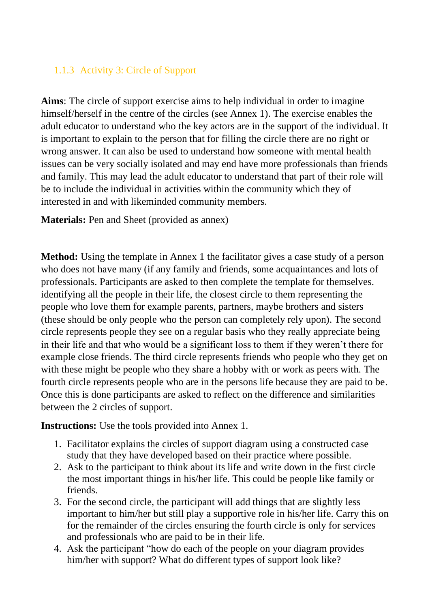## 1.1.3 Activity 3: Circle of Support

**Aims**: The circle of support exercise aims to help individual in order to imagine himself/herself in the centre of the circles (see Annex 1). The exercise enables the adult educator to understand who the key actors are in the support of the individual. It is important to explain to the person that for filling the circle there are no right or wrong answer. It can also be used to understand how someone with mental health issues can be very socially isolated and may end have more professionals than friends and family. This may lead the adult educator to understand that part of their role will be to include the individual in activities within the community which they of interested in and with likeminded community members.

**Materials:** Pen and Sheet (provided as annex)

**Method:** Using the template in Annex 1 the facilitator gives a case study of a person who does not have many (if any family and friends, some acquaintances and lots of professionals. Participants are asked to then complete the template for themselves. identifying all the people in their life, the closest circle to them representing the people who love them for example parents, partners, maybe brothers and sisters (these should be only people who the person can completely rely upon). The second circle represents people they see on a regular basis who they really appreciate being in their life and that who would be a significant loss to them if they weren't there for example close friends. The third circle represents friends who people who they get on with these might be people who they share a hobby with or work as peers with. The fourth circle represents people who are in the persons life because they are paid to be. Once this is done participants are asked to reflect on the difference and similarities between the 2 circles of support.

**Instructions:** Use the tools provided into Annex 1.

- 1. Facilitator explains the circles of support diagram using a constructed case study that they have developed based on their practice where possible.
- 2. Ask to the participant to think about its life and write down in the first circle the most important things in his/her life. This could be people like family or friends.
- 3. For the second circle, the participant will add things that are slightly less important to him/her but still play a supportive role in his/her life. Carry this on for the remainder of the circles ensuring the fourth circle is only for services and professionals who are paid to be in their life.
- 4. Ask the participant "how do each of the people on your diagram provides him/her with support? What do different types of support look like?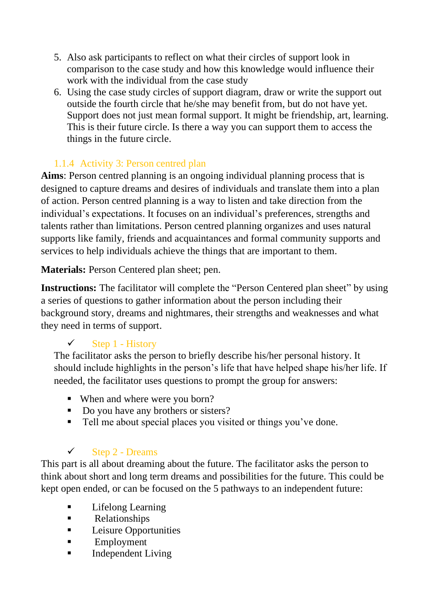- 5. Also ask participants to reflect on what their circles of support look in comparison to the case study and how this knowledge would influence their work with the individual from the case study
- 6. Using the case study circles of support diagram, draw or write the support out outside the fourth circle that he/she may benefit from, but do not have yet. Support does not just mean formal support. It might be friendship, art, learning. This is their future circle. Is there a way you can support them to access the things in the future circle.

# 1.1.4 Activity 3: Person centred plan

**Aims**: Person centred planning is an ongoing individual planning process that is designed to capture dreams and desires of individuals and translate them into a plan of action. Person centred planning is a way to listen and take direction from the individual's expectations. It focuses on an individual's preferences, strengths and talents rather than limitations. Person centred planning organizes and uses natural supports like family, friends and acquaintances and formal community supports and services to help individuals achieve the things that are important to them.

**Materials:** Person Centered plan sheet; pen.

**Instructions:** The facilitator will complete the "Person Centered plan sheet" by using a series of questions to gather information about the person including their background story, dreams and nightmares, their strengths and weaknesses and what they need in terms of support.

# $\checkmark$  Step 1 - History

The facilitator asks the person to briefly describe his/her personal history. It should include highlights in the person's life that have helped shape his/her life. If needed, the facilitator uses questions to prompt the group for answers:

- When and where were you born?
- Do you have any brothers or sisters?
- Tell me about special places you visited or things you've done.

# $\checkmark$  Step 2 - Dreams

This part is all about dreaming about the future. The facilitator asks the person to think about short and long term dreams and possibilities for the future. This could be kept open ended, or can be focused on the 5 pathways to an independent future:

- Lifelong Learning
- Relationships
- **EXECUTE:** Leisure Opportunities
- Employment
- **Independent Living**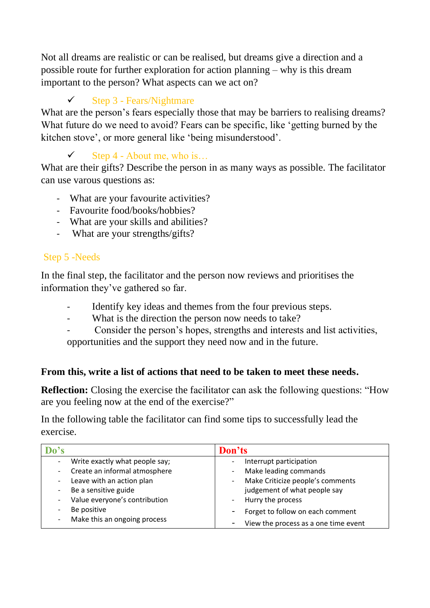Not all dreams are realistic or can be realised, but dreams give a direction and a possible route for further exploration for action planning – why is this dream important to the person? What aspects can we act on?

# $\checkmark$  Step 3 - Fears/Nightmare

What are the person's fears especially those that may be barriers to realising dreams? What future do we need to avoid? Fears can be specific, like 'getting burned by the kitchen stove', or more general like 'being misunderstood'.

# $\checkmark$  Step 4 - About me, who is...

What are their gifts? Describe the person in as many ways as possible. The facilitator can use varous questions as:

- What are your favourite activities?
- Favourite food/books/hobbies?
- What are your skills and abilities?
- What are your strengths/gifts?

## Step 5 -Needs

In the final step, the facilitator and the person now reviews and prioritises the information they've gathered so far.

- Identify key ideas and themes from the four previous steps.
- What is the direction the person now needs to take?
- Consider the person's hopes, strengths and interests and list activities, opportunities and the support they need now and in the future.

## **From this, write a list of actions that need to be taken to meet these needs.**

**Reflection:** Closing the exercise the facilitator can ask the following questions: "How are you feeling now at the end of the exercise?"

In the following table the facilitator can find some tips to successfully lead the exercise.

| Do's                           | Don'ts                                    |
|--------------------------------|-------------------------------------------|
| Write exactly what people say; | Interrupt participation                   |
| Create an informal atmosphere  | Make leading commands                     |
| Leave with an action plan      | Make Criticize people's comments<br>$ \,$ |
| Be a sensitive guide<br>-      | judgement of what people say              |
| Value everyone's contribution  | Hurry the process<br>$ \,$                |
| Be positive                    | Forget to follow on each comment          |
| Make this an ongoing process   | View the process as a one time event      |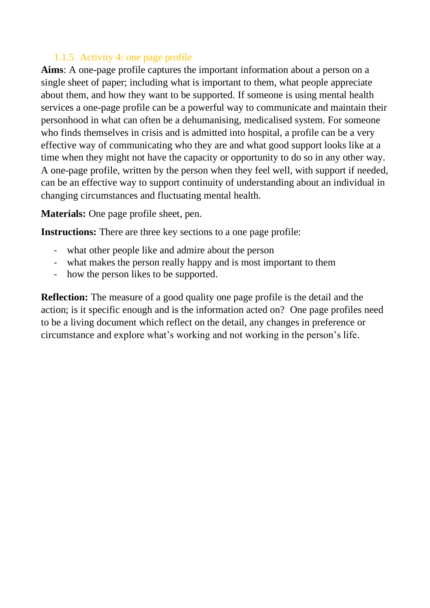#### 1.1.5 Activity 4: one page profile

**Aims**: A one-page profile captures the important information about a person on a single sheet of paper; including what is important to them, what people appreciate about them, and how they want to be supported. If someone is using mental health services a one-page profile can be a powerful way to communicate and maintain their personhood in what can often be a dehumanising, medicalised system. For someone who finds themselves in crisis and is admitted into hospital, a profile can be a very effective way of communicating who they are and what good support looks like at a time when they might not have the capacity or opportunity to do so in any other way. A one-page profile, written by the person when they feel well, with support if needed, can be an effective way to support continuity of understanding about an individual in changing circumstances and fluctuating mental health.

**Materials:** One page profile sheet, pen.

**Instructions:** There are three key sections to a one page profile:

- what other people like and admire about the person
- what makes the person really happy and is most important to them
- how the person likes to be supported.

**Reflection:** The measure of a good quality one page profile is the detail and the action; is it specific enough and is the information acted on? One page profiles need to be a living document which reflect on the detail, any changes in preference or circumstance and explore what's working and not working in the person's life.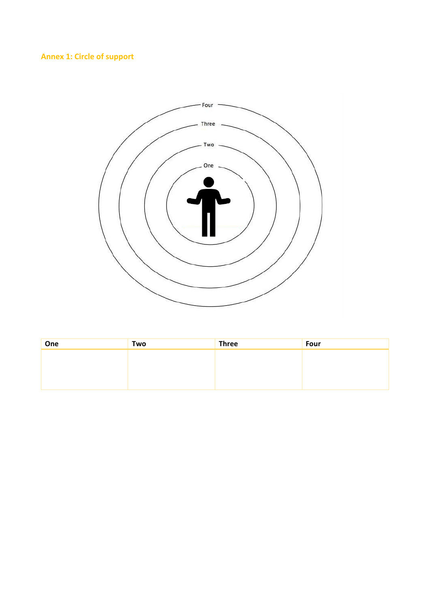## **Annex 1: Circle of support**



| One | Two | <b>Three</b> | Four |
|-----|-----|--------------|------|
|     |     |              |      |
|     |     |              |      |
|     |     |              |      |
|     |     |              |      |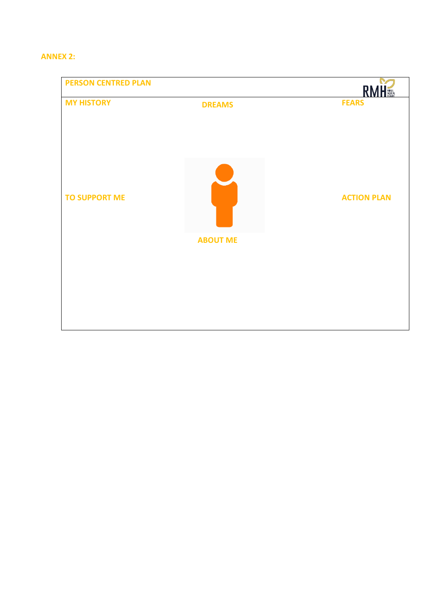#### **ANNEX 2:**